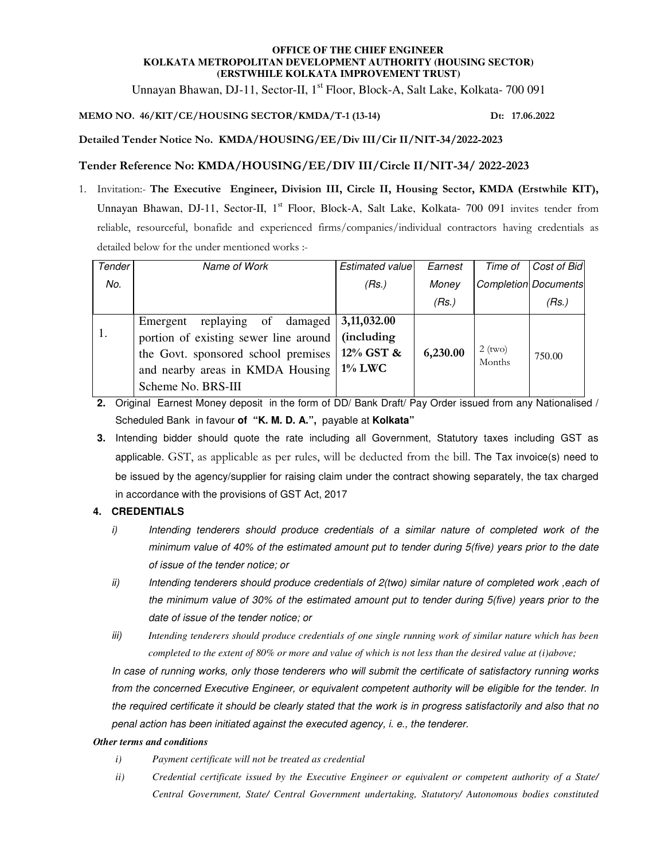### **OFFICE OF THE CHIEF ENGINEER KOLKATA METROPOLITAN DEVELOPMENT AUTHORITY (HOUSING SECTOR) (ERSTWHILE KOLKATA IMPROVEMENT TRUST)**

Unnayan Bhawan, DJ-11, Sector-II, 1<sup>st</sup> Floor, Block-A, Salt Lake, Kolkata- 700 091

# **MEMO NO. 46/KIT/CE/HOUSING SECTOR/KMDA/T-1 (13-14) Dt: 17.06.2022**

**Detailed Tender Notice No. KMDA/HOUSING/EE/Div III/Cir II/NIT-34/2022-2023** 

# **Tender Reference No: KMDA/HOUSING/EE/DIV III/Circle II/NIT-34/ 2022-2023**

1. Invitation:- **The Executive Engineer, Division III, Circle II, Housing Sector, KMDA (Erstwhile KIT),**  Unnayan Bhawan, DJ-11, Sector-II, 1<sup>st</sup> Floor, Block-A, Salt Lake, Kolkata- 700 091 invites tender from reliable, resourceful, bonafide and experienced firms/companies/individual contractors having credentials as detailed below for the under mentioned works :-

| Tender | Name of Work                                                                                                                                                                  | Estimated value                                             | Earnest  | Time of             | Cost of Bid                 |
|--------|-------------------------------------------------------------------------------------------------------------------------------------------------------------------------------|-------------------------------------------------------------|----------|---------------------|-----------------------------|
| No.    |                                                                                                                                                                               | (Rs.)                                                       | Money    |                     | <b>Completion Documents</b> |
|        |                                                                                                                                                                               |                                                             | (Rs.)    |                     | (Rs.)                       |
| 1.     | damaged<br>replaying of<br>Emergent<br>portion of existing sewer line around<br>the Govt. sponsored school premises<br>and nearby areas in KMDA Housing<br>Scheme No. BRS-III | 3,11,032.00<br><i>(including)</i><br>12% GST &<br>$1\%$ LWC | 6,230.00 | $2$ (two)<br>Months | 750.00                      |

**2.** Original Earnest Money deposit in the form of DD/ Bank Draft/ Pay Order issued from any Nationalised / Scheduled Bank in favour **of "K. M. D. A.",** payable at **Kolkata"** 

**3.** Intending bidder should quote the rate including all Government, Statutory taxes including GST as applicable. GST, as applicable as per rules, will be deducted from the bill. The Tax invoice(s) need to be issued by the agency/supplier for raising claim under the contract showing separately, the tax charged in accordance with the provisions of GST Act, 2017

## **4. CREDENTIALS**

- i) Intending tenderers should produce credentials of a similar nature of completed work of the minimum value of 40% of the estimated amount put to tender during 5(five) years prior to the date of issue of the tender notice; or
- ii) Intending tenderers should produce credentials of 2(two) similar nature of completed work ,each of the minimum value of 30% of the estimated amount put to tender during 5(five) years prior to the date of issue of the tender notice; or
- iii) *Intending tenderers should produce credentials of one single running work of similar nature which has been completed to the extent of 80% or more and value of which is not less than the desired value at (i)above;*

In case of running works, only those tenderers who will submit the certificate of satisfactory running works from the concerned Executive Engineer, or equivalent competent authority will be eligible for the tender. In the required certificate it should be clearly stated that the work is in progress satisfactorily and also that no penal action has been initiated against the executed agency, i. e., the tenderer.

#### *Other terms and conditions*

- *i) Payment certificate will not be treated as credential*
- *ii) Credential certificate issued by the Executive Engineer or equivalent or competent authority of a State/ Central Government, State/ Central Government undertaking, Statutory/ Autonomous bodies constituted*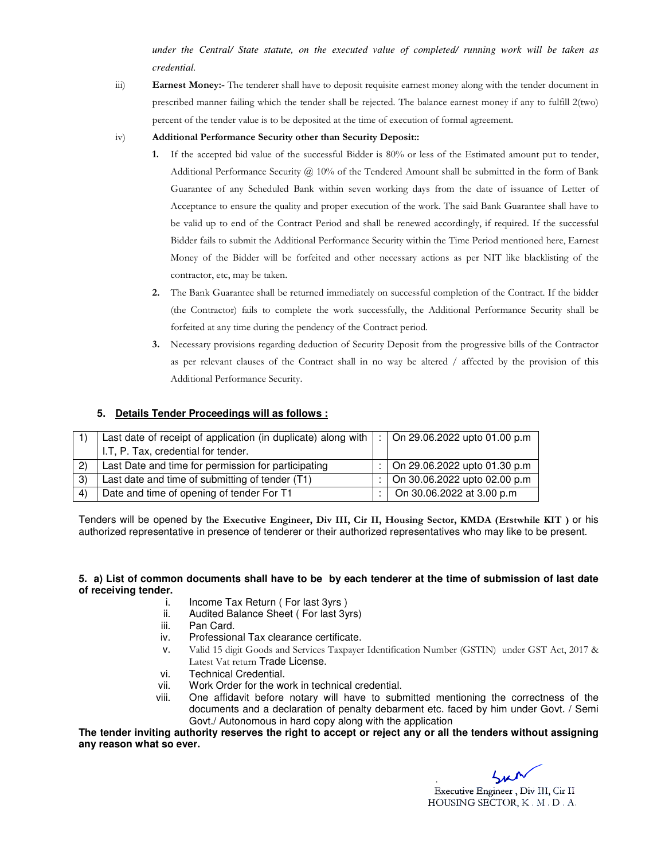*under the Central/ State statute, on the executed value of completed/ running work will be taken as credential.* 

iii) **Earnest Money:-** The tenderer shall have to deposit requisite earnest money along with the tender document in prescribed manner failing which the tender shall be rejected. The balance earnest money if any to fulfill 2(two) percent of the tender value is to be deposited at the time of execution of formal agreement.

#### iv) **Additional Performance Security other than Security Deposit::**

- **1.** If the accepted bid value of the successful Bidder is 80% or less of the Estimated amount put to tender, Additional Performance Security @ 10% of the Tendered Amount shall be submitted in the form of Bank Guarantee of any Scheduled Bank within seven working days from the date of issuance of Letter of Acceptance to ensure the quality and proper execution of the work. The said Bank Guarantee shall have to be valid up to end of the Contract Period and shall be renewed accordingly, if required. If the successful Bidder fails to submit the Additional Performance Security within the Time Period mentioned here, Earnest Money of the Bidder will be forfeited and other necessary actions as per NIT like blacklisting of the contractor, etc, may be taken.
- **2.** The Bank Guarantee shall be returned immediately on successful completion of the Contract. If the bidder (the Contractor) fails to complete the work successfully, the Additional Performance Security shall be forfeited at any time during the pendency of the Contract period.
- **3.** Necessary provisions regarding deduction of Security Deposit from the progressive bills of the Contractor as per relevant clauses of the Contract shall in no way be altered / affected by the provision of this Additional Performance Security.

#### **5. Details Tender Proceedings will as follows :**

|               | Last date of receipt of application (in duplicate) along with  :   On 29.06.2022 upto 01.00 p.m |                                  |
|---------------|-------------------------------------------------------------------------------------------------|----------------------------------|
|               | I.T. P. Tax, credential for tender.                                                             |                                  |
| (2)           | Last Date and time for permission for participating                                             | :   On 29.06.2022 upto 01.30 p.m |
| $\mathcal{E}$ | Last date and time of submitting of tender (T1)                                                 | :   On 30.06.2022 upto 02.00 p.m |
| $\vert$       | Date and time of opening of tender For T1                                                       | On 30.06.2022 at 3.00 p.m        |

Tenders will be opened by t**he Executive Engineer, Div III, Cir II, Housing Sector, KMDA (Erstwhile KIT )** or his authorized representative in presence of tenderer or their authorized representatives who may like to be present.

#### **5. a) List of common documents shall have to be by each tenderer at the time of submission of last date of receiving tender.**

- i. Income Tax Return ( For last 3yrs )
- ii. Audited Balance Sheet ( For last 3yrs)
- iii. Pan Card.
- iv. Professional Tax clearance certificate.
- v. Valid 15 digit Goods and Services Taxpayer Identification Number (GSTIN) under GST Act, 2017 & Latest Vat return Trade License.
- vi. Technical Credential.
- vii. Work Order for the work in technical credential.
- viii. One affidavit before notary will have to submitted mentioning the correctness of the documents and a declaration of penalty debarment etc. faced by him under Govt. / Semi Govt./ Autonomous in hard copy along with the application

**The tender inviting authority reserves the right to accept or reject any or all the tenders without assigning any reason what so ever.** 

 . Executive Engineer, Div III, Cir II HOUSING SECTOR, K.M.D.A.